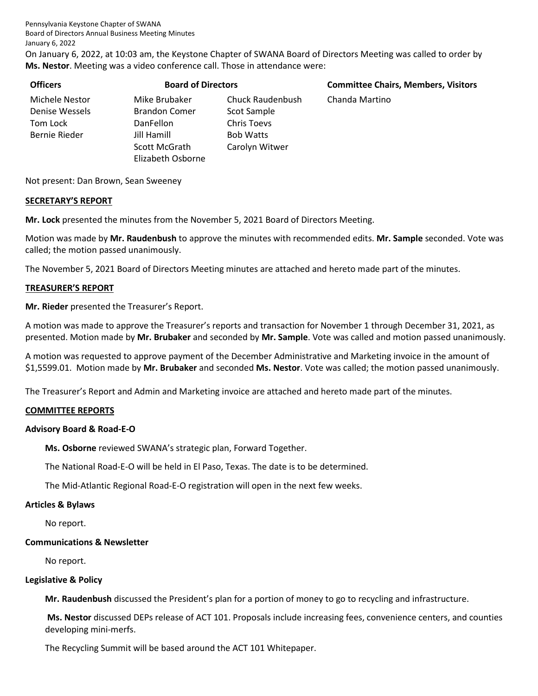Pennsylvania Keystone Chapter of SWANA Board of Directors Annual Business Meeting Minutes January 6, 2022

On January 6, 2022, at 10:03 am, the Keystone Chapter of SWANA Board of Directors Meeting was called to order by **Ms. Nestor**. Meeting was a video conference call. Those in attendance were:

| <b>Officers</b>                                               | <b>Board of Directors</b>                                                |                                                                    | <b>Committee Chairs, Members, Visitors</b> |  |  |
|---------------------------------------------------------------|--------------------------------------------------------------------------|--------------------------------------------------------------------|--------------------------------------------|--|--|
| Michele Nestor<br>Denise Wessels<br>Tom Lock<br>Bernie Rieder | Mike Brubaker<br><b>Brandon Comer</b><br><b>DanFellon</b><br>Jill Hamill | Chuck Raudenbush<br>Scot Sample<br>Chris Toevs<br><b>Bob Watts</b> | Chanda Martino                             |  |  |
|                                                               | Scott McGrath<br>Elizabeth Osborne                                       | Carolyn Witwer                                                     |                                            |  |  |

Not present: Dan Brown, Sean Sweeney

#### **SECRETARY'S REPORT**

**Mr. Lock** presented the minutes from the November 5, 2021 Board of Directors Meeting.

Motion was made by **Mr. Raudenbush** to approve the minutes with recommended edits. **Mr. Sample** seconded. Vote was called; the motion passed unanimously.

The November 5, 2021 Board of Directors Meeting minutes are attached and hereto made part of the minutes.

#### **TREASURER'S REPORT**

**Mr. Rieder** presented the Treasurer's Report.

A motion was made to approve the Treasurer's reports and transaction for November 1 through December 31, 2021, as presented. Motion made by **Mr. Brubaker** and seconded by **Mr. Sample**. Vote was called and motion passed unanimously.

A motion was requested to approve payment of the December Administrative and Marketing invoice in the amount of \$1,5599.01. Motion made by **Mr. Brubaker** and seconded **Ms. Nestor**. Vote was called; the motion passed unanimously.

The Treasurer's Report and Admin and Marketing invoice are attached and hereto made part of the minutes.

#### **COMMITTEE REPORTS**

#### **Advisory Board & Road-E-O**

**Ms. Osborne** reviewed SWANA's strategic plan, Forward Together.

The National Road-E-O will be held in El Paso, Texas. The date is to be determined.

The Mid-Atlantic Regional Road-E-O registration will open in the next few weeks.

#### **Articles & Bylaws**

No report.

#### **Communications & Newsletter**

No report.

#### **Legislative & Policy**

**Mr. Raudenbush** discussed the President's plan for a portion of money to go to recycling and infrastructure.

**Ms. Nestor** discussed DEPs release of ACT 101. Proposals include increasing fees, convenience centers, and counties developing mini-merfs.

The Recycling Summit will be based around the ACT 101 Whitepaper.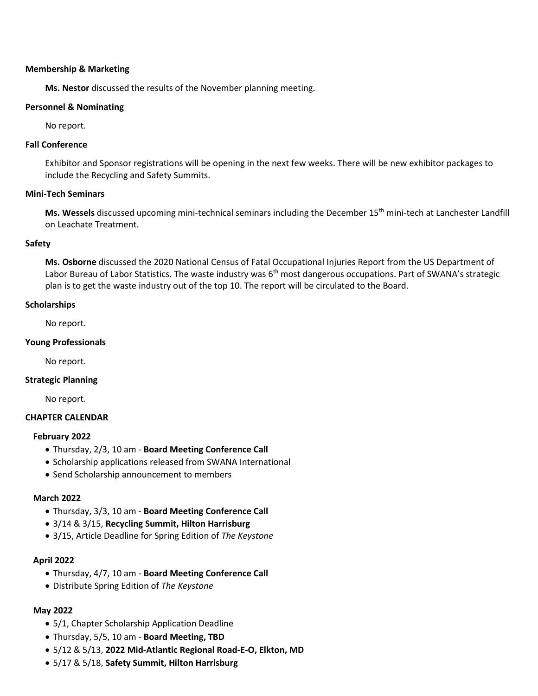#### **Membership & Marketing**

**Ms. Nestor** discussed the results of the November planning meeting.

#### **Personnel & Nominating**

No report.

#### **Fall Conference**

Exhibitor and Sponsor registrations will be opening in the next few weeks. There will be new exhibitor packages to include the Recycling and Safety Summits.

#### **Mini-Tech Seminars**

Ms. Wessels discussed upcoming mini-technical seminars including the December 15<sup>th</sup> mini-tech at Lanchester Landfill on Leachate Treatment.

#### **Safety**

**Ms. Osborne** discussed the 2020 National Census of Fatal Occupational Injuries Report from the US Department of Labor Bureau of Labor Statistics. The waste industry was  $6<sup>th</sup>$  most dangerous occupations. Part of SWANA's strategic plan is to get the waste industry out of the top 10. The report will be circulated to the Board.

#### **Scholarships**

No report.

#### **Young Professionals**

No report.

#### **Strategic Planning**

No report.

#### **CHAPTER CALENDAR**

#### **February 2022**

- Thursday, 2/3, 10 am **Board Meeting Conference Call**
- Scholarship applications released from SWANA International
- Send Scholarship announcement to members

#### **March 2022**

- Thursday, 3/3, 10 am **Board Meeting Conference Call**
- 3/14 & 3/15, **Recycling Summit, Hilton Harrisburg**
- 3/15, Article Deadline for Spring Edition of *The Keystone*

#### **April 2022**

- Thursday, 4/7, 10 am **Board Meeting Conference Call**
- Distribute Spring Edition of *The Keystone*

#### **May 2022**

- 5/1, Chapter Scholarship Application Deadline
- Thursday, 5/5, 10 am **Board Meeting, TBD**
- 5/12 & 5/13, **2022 Mid-Atlantic Regional Road-E-O, Elkton, MD**
- 5/17 & 5/18, **Safety Summit, Hilton Harrisburg**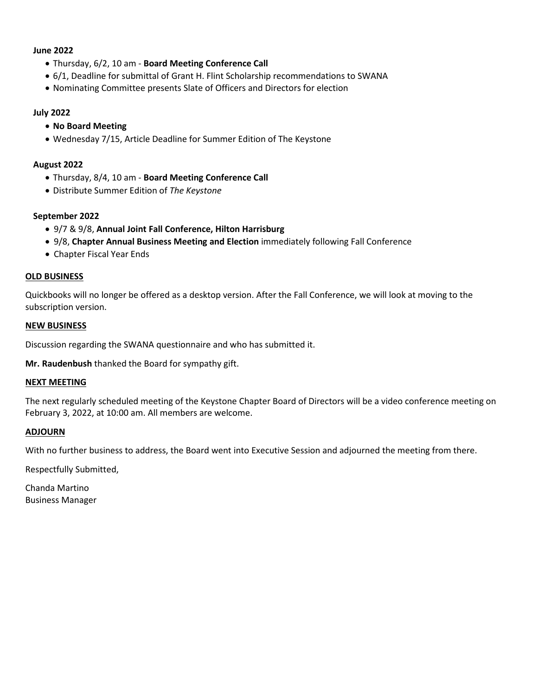#### **June 2022**

- Thursday, 6/2, 10 am **Board Meeting Conference Call**
- 6/1, Deadline for submittal of Grant H. Flint Scholarship recommendations to SWANA
- Nominating Committee presents Slate of Officers and Directors for election

#### **July 2022**

- **No Board Meeting**
- Wednesday 7/15, Article Deadline for Summer Edition of The Keystone

#### **August 2022**

- Thursday, 8/4, 10 am **Board Meeting Conference Call**
- Distribute Summer Edition of *The Keystone*

#### **September 2022**

- 9/7 & 9/8, **Annual Joint Fall Conference, Hilton Harrisburg**
- 9/8, **Chapter Annual Business Meeting and Election** immediately following Fall Conference
- Chapter Fiscal Year Ends

#### **OLD BUSINESS**

Quickbooks will no longer be offered as a desktop version. After the Fall Conference, we will look at moving to the subscription version.

#### **NEW BUSINESS**

Discussion regarding the SWANA questionnaire and who has submitted it.

**Mr. Raudenbush** thanked the Board for sympathy gift.

#### **NEXT MEETING**

The next regularly scheduled meeting of the Keystone Chapter Board of Directors will be a video conference meeting on February 3, 2022, at 10:00 am. All members are welcome.

#### **ADJOURN**

With no further business to address, the Board went into Executive Session and adjourned the meeting from there.

Respectfully Submitted,

Chanda Martino Business Manager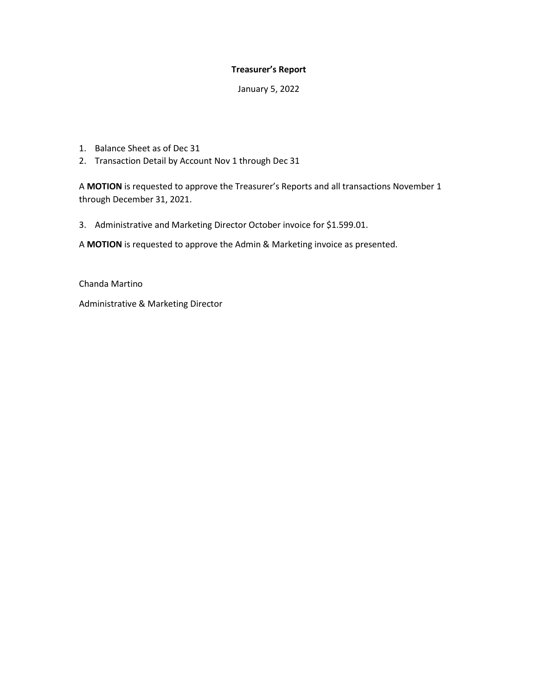#### **Treasurer's Report**

January 5, 2022

- 1. Balance Sheet as of Dec 31
- 2. Transaction Detail by Account Nov 1 through Dec 31

A **MOTION** is requested to approve the Treasurer's Reports and all transactions November 1 through December 31, 2021.

3. Administrative and Marketing Director October invoice for \$1.599.01.

A **MOTION** is requested to approve the Admin & Marketing invoice as presented.

Chanda Martino

Administrative & Marketing Director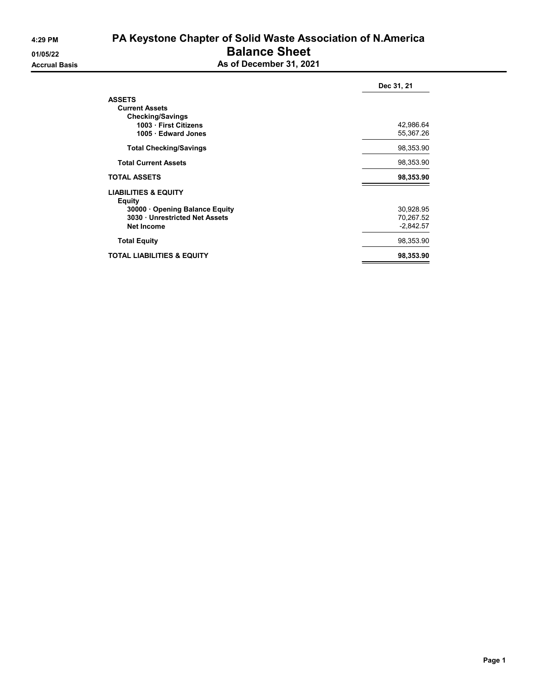# 4:29 PM PA Keystone Chapter of Solid Waste Association of N.America 01/05/22 Balance Sheet

| As of December 31, 2021 |  |
|-------------------------|--|

|                                           | Dec 31, 21  |
|-------------------------------------------|-------------|
| <b>ASSETS</b>                             |             |
| <b>Current Assets</b>                     |             |
| <b>Checking/Savings</b>                   |             |
| 1003 First Citizens                       | 42,986.64   |
| 1005 Edward Jones                         | 55,367.26   |
| <b>Total Checking/Savings</b>             | 98,353.90   |
| <b>Total Current Assets</b>               | 98,353.90   |
| <b>TOTAL ASSETS</b>                       | 98,353.90   |
| <b>LIABILITIES &amp; EQUITY</b><br>Equity |             |
| 30000 Opening Balance Equity              | 30,928.95   |
| 3030 Unrestricted Net Assets              | 70,267.52   |
| <b>Net Income</b>                         | $-2,842.57$ |
| <b>Total Equity</b>                       | 98,353.90   |
| <b>TOTAL LIABILITIES &amp; EQUITY</b>     | 98,353.90   |
|                                           |             |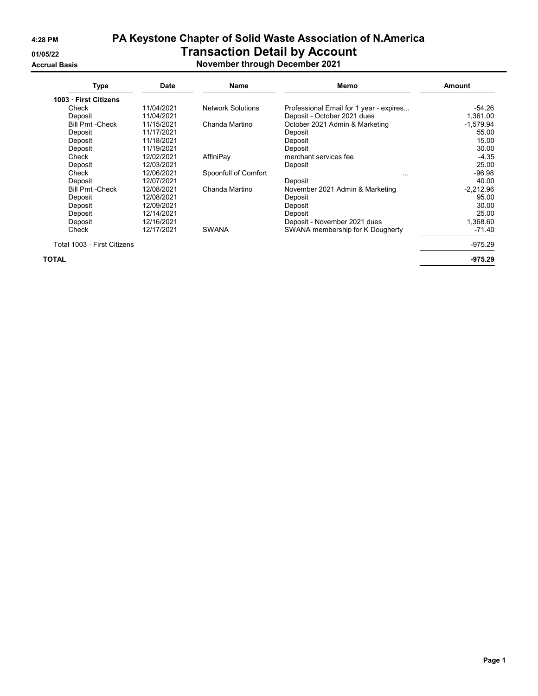# 4:28 PM PA Keystone Chapter of Solid Waste Association of N.America 01/05/22 Transaction Detail by Account

### Accrual Basis November through December 2021

| Type                        | <b>Date</b> | Memo<br>Name             |                                         | <b>Amount</b> |  |
|-----------------------------|-------------|--------------------------|-----------------------------------------|---------------|--|
| 1003 First Citizens         |             |                          |                                         |               |  |
| Check                       | 11/04/2021  | <b>Network Solutions</b> | Professional Email for 1 year - expires | -54.26        |  |
| Deposit                     | 11/04/2021  |                          | Deposit - October 2021 dues             | 1,361.00      |  |
| <b>Bill Pmt - Check</b>     | 11/15/2021  | Chanda Martino           | October 2021 Admin & Marketing          | $-1,579.94$   |  |
| Deposit                     | 11/17/2021  |                          | Deposit                                 | 55.00         |  |
| Deposit                     | 11/18/2021  |                          | Deposit                                 | 15.00         |  |
| Deposit                     | 11/19/2021  |                          | Deposit                                 | 30.00         |  |
| Check                       | 12/02/2021  | AffiniPay                | merchant services fee                   | $-4.35$       |  |
| Deposit                     | 12/03/2021  |                          | Deposit                                 | 25.00         |  |
| Check                       | 12/06/2021  | Spoonfull of Comfort     | $\cdots$                                | $-96.98$      |  |
| Deposit                     | 12/07/2021  |                          | Deposit                                 | 40.00         |  |
| <b>Bill Pmt - Check</b>     | 12/08/2021  | Chanda Martino           | November 2021 Admin & Marketing         | $-2,212.96$   |  |
| Deposit                     | 12/08/2021  |                          | Deposit                                 | 95.00         |  |
| Deposit                     | 12/09/2021  |                          | Deposit                                 | 30.00         |  |
| Deposit                     | 12/14/2021  |                          | Deposit                                 | 25.00         |  |
| Deposit                     | 12/16/2021  |                          | Deposit - November 2021 dues            | 1,368.60      |  |
| Check                       | 12/17/2021  | <b>SWANA</b>             | SWANA membership for K Dougherty        | $-71.40$      |  |
| Total 1003 · First Citizens |             |                          |                                         | $-975.29$     |  |
| TOTAL                       |             |                          |                                         | $-975.29$     |  |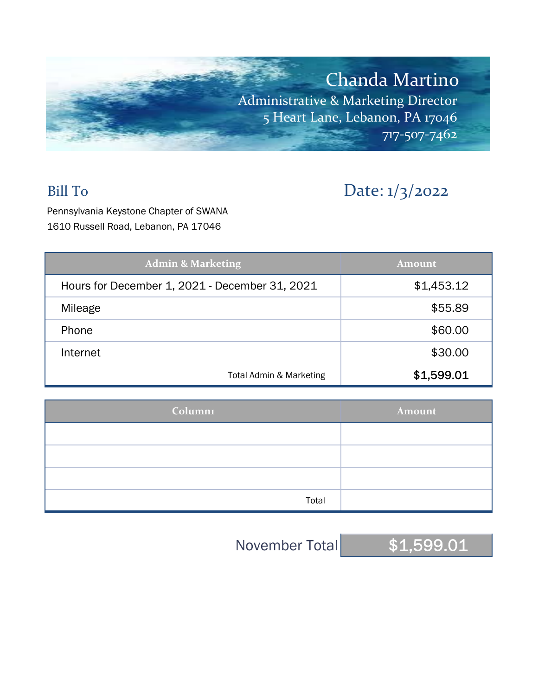

# Bill To Date: 1/3/2022

Pennsylvania Keystone Chapter of SWANA 1610 Russell Road, Lebanon, PA 17046

| <b>Admin &amp; Marketing</b>                   | <b>Amount</b> |  |  |
|------------------------------------------------|---------------|--|--|
| Hours for December 1, 2021 - December 31, 2021 | \$1,453.12    |  |  |
| Mileage                                        | \$55.89       |  |  |
| Phone                                          | \$60.00       |  |  |
| Internet                                       | \$30.00       |  |  |
| Total Admin & Marketing                        | \$1,599.01    |  |  |

| <b>Column1</b> | Amount |
|----------------|--------|
|                |        |
|                |        |
|                |        |
| Total          |        |

November Total \$1,599.01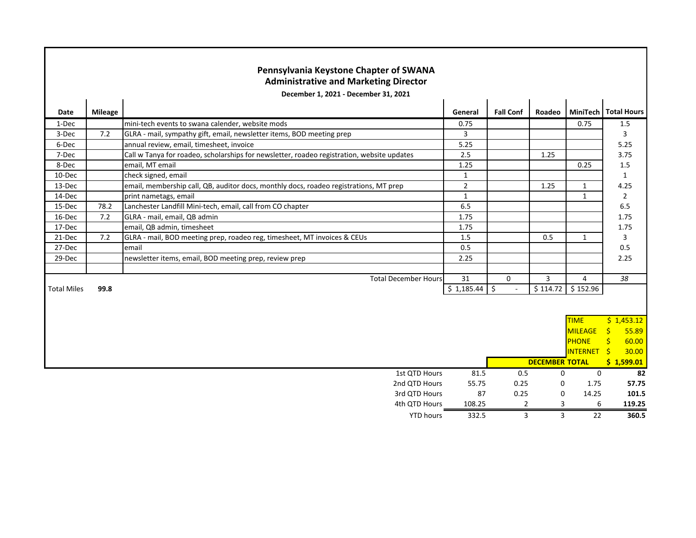| Pennsylvania Keystone Chapter of SWANA<br><b>Administrative and Marketing Director</b> |                |                                                                                            |                |                  |                       |                    |                        |
|----------------------------------------------------------------------------------------|----------------|--------------------------------------------------------------------------------------------|----------------|------------------|-----------------------|--------------------|------------------------|
|                                                                                        |                | December 1, 2021 - December 31, 2021                                                       |                |                  |                       |                    |                        |
| Date                                                                                   | <b>Mileage</b> |                                                                                            | General        | <b>Fall Conf</b> | Roadeo                |                    | MiniTech   Total Hours |
| 1-Dec                                                                                  |                | mini-tech events to swana calender, website mods                                           | 0.75           |                  |                       | 0.75               | 1.5                    |
| 3-Dec                                                                                  | 7.2            | GLRA - mail, sympathy gift, email, newsletter items, BOD meeting prep                      | 3              |                  |                       |                    | 3                      |
| 6-Dec                                                                                  |                | annual review, email, timesheet, invoice                                                   | 5.25           |                  |                       |                    | 5.25                   |
| 7-Dec                                                                                  |                | Call w Tanya for roadeo, scholarships for newsletter, roadeo registration, website updates | 2.5            |                  | 1.25                  |                    | 3.75                   |
| 8-Dec                                                                                  |                | email, MT email                                                                            | 1.25           |                  |                       | 0.25               | 1.5                    |
| 10-Dec                                                                                 |                | check signed, email                                                                        | $\mathbf{1}$   |                  |                       |                    | 1                      |
| 13-Dec                                                                                 |                | email, membership call, QB, auditor docs, monthly docs, roadeo registrations, MT prep      | $\overline{2}$ |                  | 1.25                  | $\mathbf{1}$       | 4.25                   |
| 14-Dec                                                                                 |                | print nametags, email                                                                      | $\mathbf{1}$   |                  |                       | $\mathbf{1}$       | $\overline{2}$         |
| 15-Dec                                                                                 | 78.2           | Lanchester Landfill Mini-tech, email, call from CO chapter                                 | 6.5            |                  |                       |                    | 6.5                    |
| 16-Dec                                                                                 | 7.2            | GLRA - mail, email, QB admin                                                               | 1.75           |                  |                       |                    | 1.75                   |
| 17-Dec                                                                                 |                | email, QB admin, timesheet                                                                 | 1.75           |                  |                       |                    | 1.75                   |
| 21-Dec                                                                                 | 7.2            | GLRA - mail, BOD meeting prep, roadeo reg, timesheet, MT invoices & CEUs                   | 1.5            |                  | 0.5                   | 1                  | 3                      |
| 27-Dec                                                                                 |                | email                                                                                      | 0.5            |                  |                       |                    | 0.5                    |
| 29-Dec                                                                                 |                | newsletter items, email, BOD meeting prep, review prep                                     | 2.25           |                  |                       |                    | 2.25                   |
|                                                                                        |                |                                                                                            |                |                  |                       |                    |                        |
|                                                                                        |                | <b>Total December Hours</b>                                                                | 31             | $\Omega$         | 3                     | 4                  | 38                     |
| <b>Total Miles</b>                                                                     | 99.8           |                                                                                            | \$1,185.44     | \$               | \$114.72              | \$152.96           |                        |
|                                                                                        |                |                                                                                            |                |                  |                       |                    |                        |
|                                                                                        |                |                                                                                            |                |                  |                       |                    |                        |
|                                                                                        |                |                                                                                            |                |                  |                       | <b>TIME</b>        | \$1,453.12             |
|                                                                                        |                |                                                                                            |                |                  |                       | <b>MILEAGE</b>     | Ŝ.<br>55.89            |
|                                                                                        |                |                                                                                            |                |                  |                       | <b>PHONE</b>       | Ś.<br>60.00            |
|                                                                                        |                |                                                                                            |                |                  |                       | <b>INTERNET \$</b> | 30.00                  |
|                                                                                        |                |                                                                                            |                |                  | <b>DECEMBER TOTAL</b> |                    | \$1,599.01             |
|                                                                                        |                | 1st QTD Hours                                                                              | 81.5           | 0.5              | 0                     | $\mathbf 0$        | 82                     |
|                                                                                        | 2nd QTD Hours  |                                                                                            | 55.75          | 0.25             | 0                     | 1.75               | 57.75                  |
|                                                                                        | 3rd QTD Hours  |                                                                                            | 87             | 0.25             | $\Omega$              | 14.25              | 101.5                  |
| 4th QTD Hours                                                                          |                | 108.25                                                                                     | 2              | 3                | 6                     | 119.25             |                        |
| <b>YTD hours</b>                                                                       |                | 332.5                                                                                      | 3              | 3                | $\overline{22}$       | 360.5              |                        |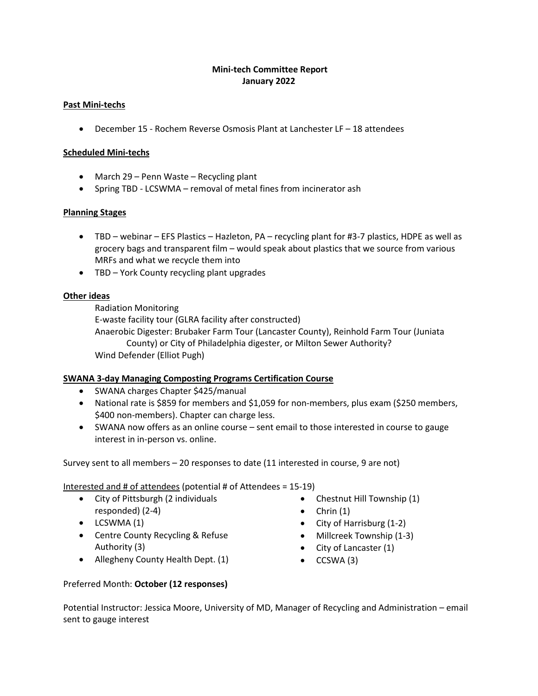### **Mini-tech Committee Report January 2022**

#### **Past Mini-techs**

• December 15 - Rochem Reverse Osmosis Plant at Lanchester LF – 18 attendees

#### **Scheduled Mini-techs**

- March 29 Penn Waste Recycling plant
- Spring TBD LCSWMA removal of metal fines from incinerator ash

#### **Planning Stages**

- TBD webinar EFS Plastics Hazleton, PA recycling plant for #3-7 plastics, HDPE as well as grocery bags and transparent film – would speak about plastics that we source from various MRFs and what we recycle them into
- TBD York County recycling plant upgrades

#### **Other ideas**

Radiation Monitoring

E-waste facility tour (GLRA facility after constructed)

Anaerobic Digester: Brubaker Farm Tour (Lancaster County), Reinhold Farm Tour (Juniata County) or City of Philadelphia digester, or Milton Sewer Authority? Wind Defender (Elliot Pugh)

#### **SWANA 3-day Managing Composting Programs Certification Course**

- SWANA charges Chapter \$425/manual
- National rate is \$859 for members and \$1,059 for non-members, plus exam (\$250 members, \$400 non-members). Chapter can charge less.
- SWANA now offers as an online course sent email to those interested in course to gauge interest in in-person vs. online.

Survey sent to all members – 20 responses to date (11 interested in course, 9 are not)

Interested and # of attendees (potential # of Attendees = 15-19)

- City of Pittsburgh (2 individuals responded) (2-4)
- LCSWMA (1)
- Centre County Recycling & Refuse Authority (3)
- Allegheny County Health Dept. (1)
- Chestnut Hill Township (1)
- $\bullet$  Chrin  $(1)$
- City of Harrisburg (1-2)
- Millcreek Township (1-3)
- City of Lancaster (1)
- CCSWA (3)

#### Preferred Month: **October (12 responses)**

Potential Instructor: Jessica Moore, University of MD, Manager of Recycling and Administration – email sent to gauge interest